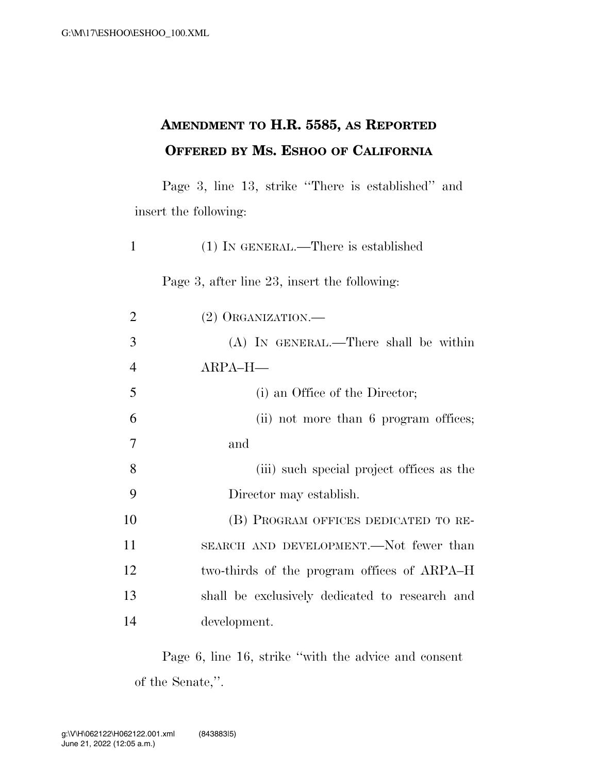## **AMENDMENT TO H.R. 5585, AS REPORTED OFFERED BY MS. ESHOO OF CALIFORNIA**

Page 3, line 13, strike ''There is established'' and insert the following:

| 1              | $(1)$ In GENERAL.—There is established         |
|----------------|------------------------------------------------|
|                | Page 3, after line 23, insert the following:   |
| $\overline{2}$ | $(2)$ ORGANIZATION.—                           |
| 3              | (A) IN GENERAL.—There shall be within          |
| $\overline{4}$ | $ARPA-H$ —                                     |
| 5              | (i) an Office of the Director;                 |
| 6              | (ii) not more than 6 program offices;          |
| 7              | and                                            |
| 8              | (iii) such special project offices as the      |
| 9              | Director may establish.                        |
| 10             | (B) PROGRAM OFFICES DEDICATED TO RE-           |
| 11             | SEARCH AND DEVELOPMENT.—Not fewer than         |
| 12             | two-thirds of the program offices of ARPA–H    |
| 13             | shall be exclusively dedicated to research and |
|                |                                                |

14 development.

Page 6, line 16, strike ''with the advice and consent of the Senate,''.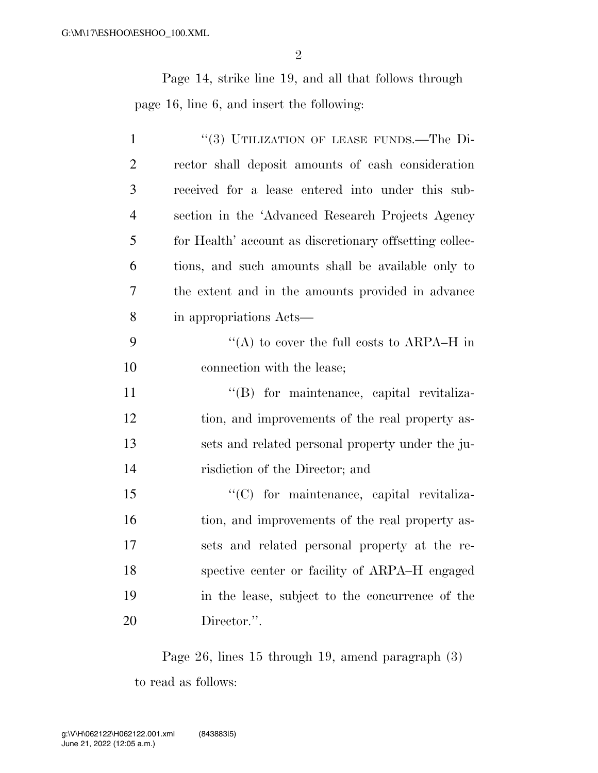Page 14, strike line 19, and all that follows through page 16, line 6, and insert the following:

| $\mathbf{1}$   | "(3) UTILIZATION OF LEASE FUNDS.—The Di-                |
|----------------|---------------------------------------------------------|
| $\overline{2}$ | rector shall deposit amounts of cash consideration      |
| 3              | received for a lease entered into under this sub-       |
| $\overline{4}$ | section in the 'Advanced Research Projects Agency       |
| 5              | for Health' account as discretionary offsetting collec- |
| 6              | tions, and such amounts shall be available only to      |
| $\overline{7}$ | the extent and in the amounts provided in advance       |
| 8              | in appropriations Acts—                                 |
| 9              | "(A) to cover the full costs to ARPA–H in               |
| 10             | connection with the lease;                              |
| 11             | "(B) for maintenance, capital revitaliza-               |
| 12             | tion, and improvements of the real property as-         |
| 13             | sets and related personal property under the ju-        |
| 14             | risdiction of the Director; and                         |
| 15             | "(C) for maintenance, capital revitaliza-               |
| 16             | tion, and improvements of the real property as-         |
| 17             | sets and related personal property at the re-           |
| 18             | spective center or facility of ARPA–H engaged           |
| 19             | in the lease, subject to the concurrence of the         |
| 20             | Director.".                                             |

Page 26, lines 15 through 19, amend paragraph (3) to read as follows: